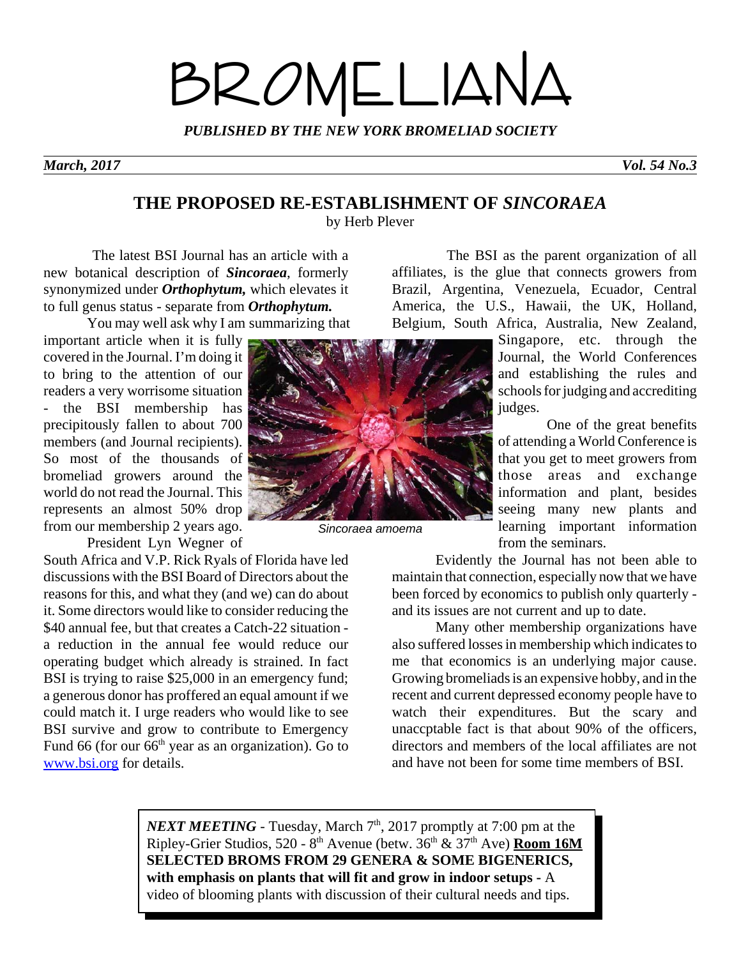# BROMELIANA

*PUBLISHED BY THE NEW YORK BROMELIAD SOCIETY*

*March, 2017 Vol. 54 No.3*

### **THE PROPOSED RE-ESTABLISHMENT OF** *SINCORAEA*

by Herb Plever

 The latest BSI Journal has an article with a new botanical description of *Sincoraea*, formerly synonymized under *Orthophytum,* which elevates it to full genus status - separate from *Orthophytum.* 

You may well ask why I am summarizing that

important article when it is fully covered in the Journal. I'm doing it to bring to the attention of our readers a very worrisome situation - the BSI membership has precipitously fallen to about 700 members (and Journal recipients). So most of the thousands of bromeliad growers around the world do not read the Journal. This represents an almost 50% drop from our membership 2 years ago.

President Lyn Wegner of

South Africa and V.P. Rick Ryals of Florida have led discussions with the BSI Board of Directors about the reasons for this, and what they (and we) can do about it. Some directors would like to consider reducing the \$40 annual fee, but that creates a Catch-22 situation a reduction in the annual fee would reduce our operating budget which already is strained. In fact BSI is trying to raise \$25,000 in an emergency fund; a generous donor has proffered an equal amount if we could match it. I urge readers who would like to see BSI survive and grow to contribute to Emergency Fund 66 (for our 66<sup>th</sup> year as an organization). Go to www.bsi.org for details.



*Sincoraea amoema*

 The BSI as the parent organization of all affiliates, is the glue that connects growers from Brazil, Argentina, Venezuela, Ecuador, Central America, the U.S., Hawaii, the UK, Holland, Belgium, South Africa, Australia, New Zealand,

Singapore, etc. through the Journal, the World Conferences and establishing the rules and schools for judging and accrediting judges.

 One of the great benefits of attending a World Conference is that you get to meet growers from those areas and exchange information and plant, besides seeing many new plants and learning important information from the seminars.

Evidently the Journal has not been able to maintain that connection, especially now that we have been forced by economics to publish only quarterly and its issues are not current and up to date.

Many other membership organizations have also suffered losses in membership which indicates to me that economics is an underlying major cause. Growing bromeliads is an expensive hobby, and in the recent and current depressed economy people have to watch their expenditures. But the scary and unaccptable fact is that about 90% of the officers, directors and members of the local affiliates are not and have not been for some time members of BSI.

*NEXT MEETING* - Tuesday, March  $7<sup>th</sup>$ , 2017 promptly at 7:00 pm at the Ripley-Grier Studios, 520 - 8th Avenue (betw. 36th & 37th Ave) **Room 16M SELECTED BROMS FROM 29 GENERA & SOME BIGENERICS, with emphasis on plants that will fit and grow in indoor setups -** A video of blooming plants with discussion of their cultural needs and tips.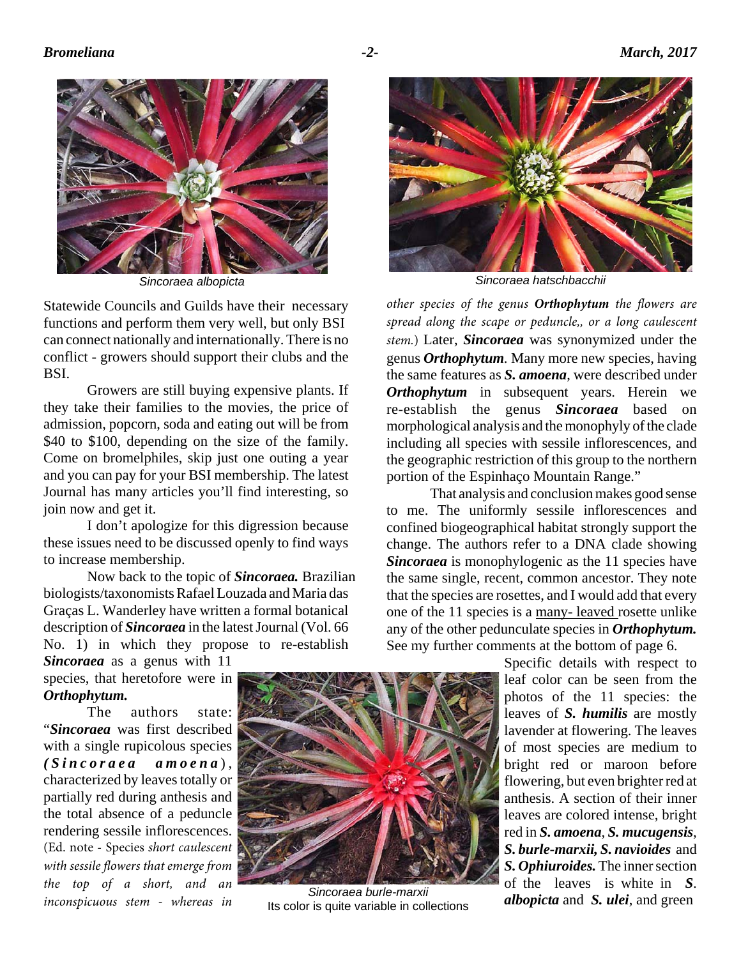

Statewide Councils and Guilds have their necessary functions and perform them very well, but only BSI can connect nationally and internationally. There is no conflict - growers should support their clubs and the BSI.

Growers are still buying expensive plants. If they take their families to the movies, the price of admission, popcorn, soda and eating out will be from \$40 to \$100, depending on the size of the family. Come on bromelphiles, skip just one outing a year and you can pay for your BSI membership. The latest Journal has many articles you'll find interesting, so join now and get it.

I don't apologize for this digression because these issues need to be discussed openly to find ways to increase membership.

Now back to the topic of *Sincoraea.* Brazilian biologists/taxonomists Rafael Louzada and Maria das Graças L. Wanderley have written a formal botanical description of *Sincoraea* in the latest Journal (Vol. 66 No. 1) in which they propose to re-establish

*Sincoraea* as a genus with 11 species, that heretofore were in *Orthophytum.*

The authors state: "*Sincoraea* was first described with a single rupicolous species *(Sincoraea amoena* ) , characterized by leaves totally or partially red during anthesis and the total absence of a peduncle rendering sessile inflorescences. (Ed. note - Species *short caulescent with sessile flowers that emerge from the top of a short, and an inconspicuous stem - whereas in*



*Sincoraea burle-marxii* Its color is quite variable in collections



*Sincoraea albopicta Sincoraea hatschbacchii*

*other species of the genus Orthophytum the flowers are spread along the scape or peduncle,, or a long caulescent stem.*) Later, *Sincoraea* was synonymized under the genus *Orthophytum.* Many more new species, having the same features as *S. amoena*, were described under *Orthophytum* in subsequent years. Herein we re-establish the genus *Sincoraea* based on morphological analysis and the monophyly of the clade including all species with sessile inflorescences, and the geographic restriction of this group to the northern portion of the Espinhaço Mountain Range."

That analysis and conclusion makes good sense to me. The uniformly sessile inflorescences and confined biogeographical habitat strongly support the change. The authors refer to a DNA clade showing *Sincoraea* is monophylogenic as the 11 species have the same single, recent, common ancestor. They note that the species are rosettes, and I would add that every one of the 11 species is a many- leaved rosette unlike any of the other pedunculate species in *Orthophytum.*  See my further comments at the bottom of page 6.

> Specific details with respect to leaf color can be seen from the photos of the 11 species: the leaves of *S. humilis* are mostly lavender at flowering. The leaves of most species are medium to bright red or maroon before flowering, but even brighter red at anthesis. A section of their inner leaves are colored intense, bright red in *S. amoena*, *S. mucugensis*, *S. burle-marxii, S. navioides* and *S. Ophiuroides.* The inner section of the leaves is white in *S*. *albopicta* and *S. ulei*, and green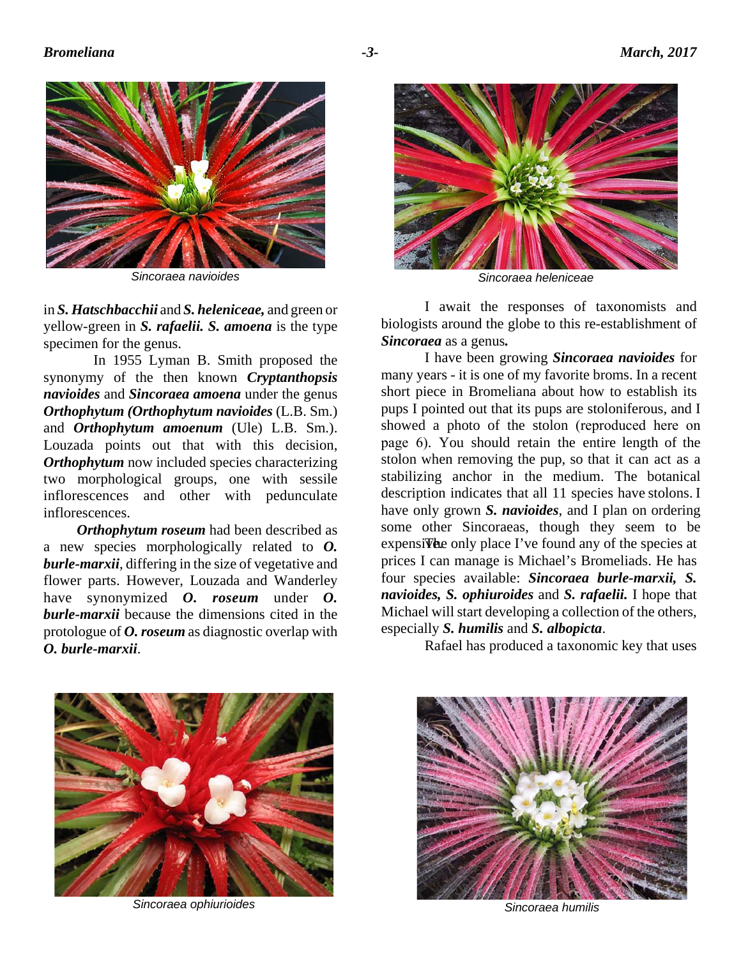

*Sincoraea navioides Sincoraea heleniceae*

in *S. Hatschbacchii* and *S. heleniceae,* and green or yellow-green in *S. rafaelii. S. amoena* is the type specimen for the genus.

 In 1955 Lyman B. Smith proposed the synonymy of the then known *Cryptanthopsis navioides* and *Sincoraea amoena* under the genus *Orthophytum (Orthophytum navioides* (L.B. Sm.) and *Orthophytum amoenum* (Ule) L.B. Sm.). Louzada points out that with this decision, *Orthophytum* now included species characterizing two morphological groups, one with sessile inflorescences and other with pedunculate inflorescences.

 *Orthophytum roseum* had been described as a new species morphologically related to *O. burle-marxii*, differing in the size of vegetative and flower parts. However, Louzada and Wanderley have synonymized *O. roseum* under *O. burle-marxii* because the dimensions cited in the protologue of *O. roseum* as diagnostic overlap with *O. burle-marxii*.



I await the responses of taxonomists and biologists around the globe to this re-establishment of *Sincoraea* as a genus*.*

I have been growing *Sincoraea navioides* for many years - it is one of my favorite broms. In a recent short piece in Bromeliana about how to establish its pups I pointed out that its pups are stoloniferous, and I showed a photo of the stolon (reproduced here on page 6). You should retain the entire length of the stolon when removing the pup, so that it can act as a stabilizing anchor in the medium. The botanical description indicates that all 11 species have stolons. I have only grown *S. navioides*, and I plan on ordering some other Sincoraeas, though they seem to be expensive. The only place I've found any of the species at prices I can manage is Michael's Bromeliads. He has four species available: *Sincoraea burle-marxii, S. navioides, S. ophiuroides* and *S. rafaelii.* I hope that Michael will start developing a collection of the others, especially *S. humilis* and *S. albopicta*.

Rafael has produced a taxonomic key that uses



*Sincoraea ophiurioides*



*Sincoraea humilis*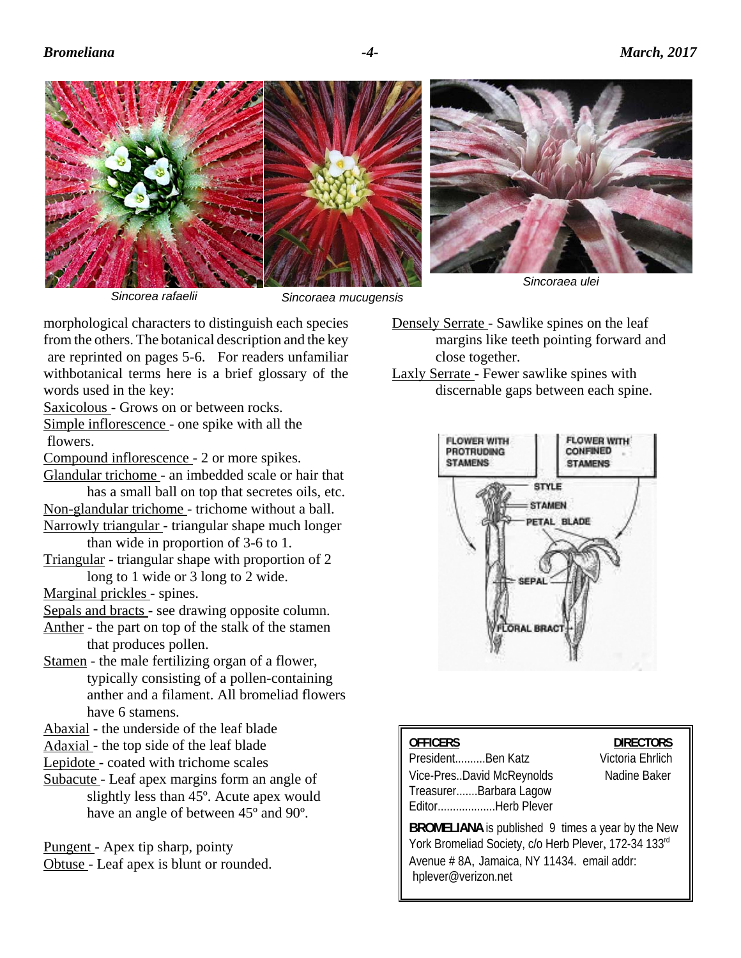

*Sincorea rafaelii*

*Sincoraea mucugensis*

morphological characters to distinguish each species from the others. The botanical description and the key are reprinted on pages 5-6. For readers unfamiliar withbotanical terms here is a brief glossary of the words used in the key:

Saxicolous - Grows on or between rocks.

Simple inflorescence - one spike with all the flowers.

Compound inflorescence - 2 or more spikes.

Glandular trichome - an imbedded scale or hair that has a small ball on top that secretes oils, etc.

Non-glandular trichome - trichome without a ball.

Narrowly triangular - triangular shape much longer than wide in proportion of 3-6 to 1.

Triangular - triangular shape with proportion of 2 long to 1 wide or 3 long to 2 wide.

Marginal prickles - spines.

Sepals and bracts - see drawing opposite column.

Anther - the part on top of the stalk of the stamen that produces pollen.

Stamen - the male fertilizing organ of a flower, typically consisting of a pollen-containing anther and a filament. All bromeliad flowers have 6 stamens.

Abaxial - the underside of the leaf blade

- Adaxial the top side of the leaf blade
- Lepidote coated with trichome scales
- Subacute Leaf apex margins form an angle of slightly less than 45º. Acute apex would have an angle of between 45º and 90º.

Pungent - Apex tip sharp, pointy Obtuse - Leaf apex is blunt or rounded.

- Densely Serrate Sawlike spines on the leaf margins like teeth pointing forward and close together.
- Laxly Serrate Fewer sawlike spines with discernable gaps between each spine.



| <b>OFFICERS</b><br>PresidentBen Katz                | <b>DIRECTORS</b><br>Victoria Ehrlich |
|-----------------------------------------------------|--------------------------------------|
|                                                     |                                      |
| Vice-PresDavid McReynolds<br>TreasurerBarbara Lagow | Nadine Baker                         |
| EditorHerb Plever                                   |                                      |
| $\mathbf{R}$                                        |                                      |

**BROMELIANA** is published 9 times a year by the New York Bromeliad Society, c/o Herb Plever, 172-34 133rd Avenue # 8A, Jamaica, NY 11434. email addr: hplever@verizon.net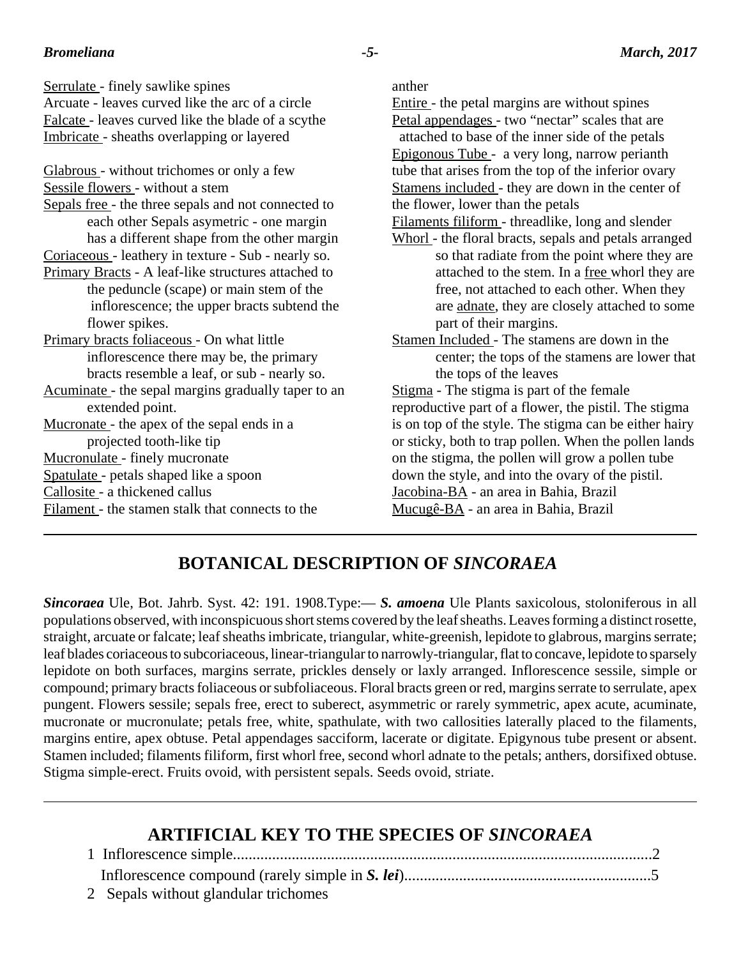| Serrulate - finely sawlike spines                   | anther                                                 |
|-----------------------------------------------------|--------------------------------------------------------|
| Arcuate - leaves curved like the arc of a circle    | Entire - the petal margins are without spines          |
| Falcate - leaves curved like the blade of a scythe  | Petal appendages - two "nectar" scales that are        |
| Imbricate - sheaths overlapping or layered          | attached to base of the inner side of the petals       |
|                                                     | Epigonous Tube - a very long, narrow perianth          |
| Glabrous - without trichomes or only a few          | tube that arises from the top of the inferior ovary    |
| Sessile flowers - without a stem                    | Stamens included - they are down in the center of      |
| Sepals free - the three sepals and not connected to | the flower, lower than the petals                      |
| each other Sepals asymetric - one margin            | Filaments filiform - threadlike, long and slender      |
| has a different shape from the other margin         | Whorl - the floral bracts, sepals and petals arranged  |
| Coriaceous - leathery in texture - Sub - nearly so. | so that radiate from the point where they are          |
| Primary Bracts - A leaf-like structures attached to | attached to the stem. In a free whorl they are         |
| the peduncle (scape) or main stem of the            | free, not attached to each other. When they            |
| inflorescence; the upper bracts subtend the         | are adnate, they are closely attached to some          |
| flower spikes.                                      | part of their margins.                                 |
| Primary bracts foliaceous - On what little          | Stamen Included - The stamens are down in the          |
| inflorescence there may be, the primary             | center; the tops of the stamens are lower that         |
| bracts resemble a leaf, or sub - nearly so.         | the tops of the leaves                                 |
| Acuminate - the sepal margins gradually taper to an | Stigma - The stigma is part of the female              |
| extended point.                                     | reproductive part of a flower, the pistil. The stigma  |
| Mucronate - the apex of the sepal ends in a         | is on top of the style. The stigma can be either hairy |
| projected tooth-like tip                            | or sticky, both to trap pollen. When the pollen lands  |
| Mucronulate - finely mucronate                      | on the stigma, the pollen will grow a pollen tube      |
| Spatulate - petals shaped like a spoon              | down the style, and into the ovary of the pistil.      |
| Callosite - a thickened callus                      | Jacobina-BA - an area in Bahia, Brazil                 |
| Filament - the stamen stalk that connects to the    | Mucugê-BA - an area in Bahia, Brazil                   |
|                                                     |                                                        |
|                                                     |                                                        |

## **BOTANICAL DESCRIPTION OF** *SINCORAEA*

*Sincoraea* Ule, Bot. Jahrb. Syst. 42: 191. 1908.Type:— *S. amoena* Ule Plants saxicolous, stoloniferous in all populations observed, with inconspicuous short stems covered by the leaf sheaths. Leaves forming a distinct rosette, straight, arcuate or falcate; leaf sheaths imbricate, triangular, white-greenish, lepidote to glabrous, margins serrate; leaf blades coriaceous to subcoriaceous, linear-triangular to narrowly-triangular, flat to concave, lepidote to sparsely lepidote on both surfaces, margins serrate, prickles densely or laxly arranged. Inflorescence sessile, simple or compound; primary bracts foliaceous or subfoliaceous. Floral bracts green or red, margins serrate to serrulate, apex pungent. Flowers sessile; sepals free, erect to suberect, asymmetric or rarely symmetric, apex acute, acuminate, mucronate or mucronulate; petals free, white, spathulate, with two callosities laterally placed to the filaments, margins entire, apex obtuse. Petal appendages sacciform, lacerate or digitate. Epigynous tube present or absent. Stamen included; filaments filiform, first whorl free, second whorl adnate to the petals; anthers, dorsifixed obtuse. Stigma simple-erect. Fruits ovoid, with persistent sepals. Seeds ovoid, striate.

## **ARTIFICIAL KEY TO THE SPECIES OF** *SINCORAEA*

| 2 Sepals without glandular trichomes |  |
|--------------------------------------|--|